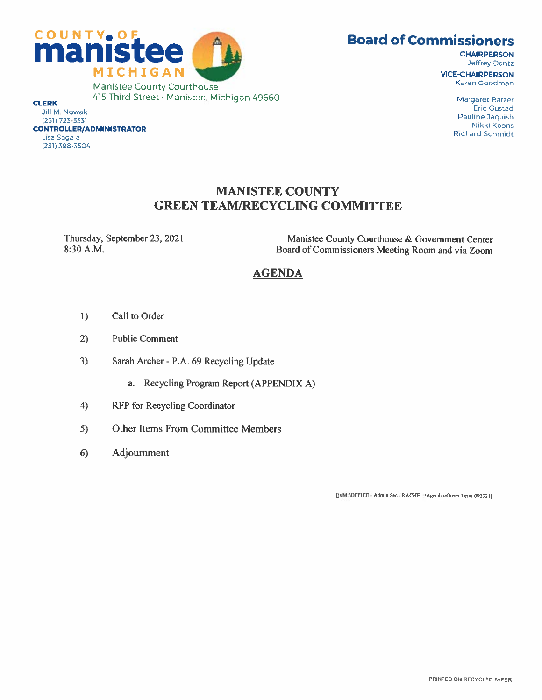



**CHAIRPERSON Jeffrey Dontz** 

# MANISTEE COUNTY GREEN TEAM/RECYCLING COMMITTEE

(231) 398-3504

Thursday, September 23, 2021<br>
8:30 A.M.<br>
Board of Commissioners Meeting Room and via Zoom Board of Commissioners Meeting Room and via Zoom

## AGENDA

- I) Call to Order
- 2) Public Comment
- 3) Sarah Archer P.A. 69 Recycling Update
	- a. Recycling Program Report (APPENDIX A)
- 4) RFP for Recycling Coordinator
- 5) Other Items From Committee Members
- 6) Adjournment

[js M:\OFFICE - Admin Sec - RACHEL.\Agendas\Green Team 092321]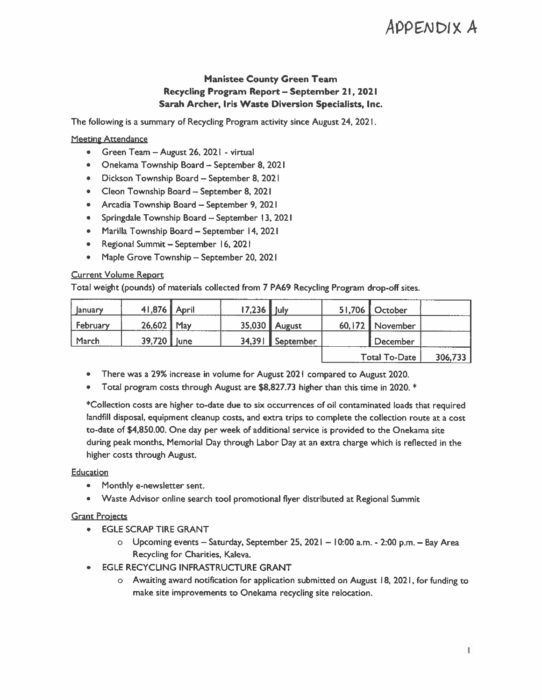## Manistee County Green Team Recycling Program Report — September 21, 2021 Sarah Archer, Iris Waste Diversion Specialists, Inc.

#### **Meeting Attendance**

- Green Team August 26, 2021 virtual
- Onekama Township Board September 8, 2021
- Dickson Township Board September 8,2021
- Cleon Township Board September 8, 2021
- Arcadia Township Board September 9, 2021
- Springdale Township Board September 13, 2021
- Marilla Township Board September 14, 2021
- Regional Summit September 16, 202 <sup>I</sup>
- Maple Grove Township September 20, 2021

#### Current Volume Report

|                                                                                    |                                                                                                                                                                                                                                                                                                                                                                                                                    |              |        |                                                                                                                                            |        |                      | <b>APPENDIX,</b> |
|------------------------------------------------------------------------------------|--------------------------------------------------------------------------------------------------------------------------------------------------------------------------------------------------------------------------------------------------------------------------------------------------------------------------------------------------------------------------------------------------------------------|--------------|--------|--------------------------------------------------------------------------------------------------------------------------------------------|--------|----------------------|------------------|
|                                                                                    |                                                                                                                                                                                                                                                                                                                                                                                                                    |              |        | <b>Manistee County Green Team</b><br>Recycling Program Report - September 21, 2021<br>Sarah Archer, Iris Waste Diversion Specialists, Inc. |        |                      |                  |
|                                                                                    |                                                                                                                                                                                                                                                                                                                                                                                                                    |              |        | The following is a summary of Recycling Program activity since August 24, 2021.                                                            |        |                      |                  |
| <b>Meeting Attendance</b><br>۰<br>۰<br>۰<br>۰<br>۰<br><b>Current Volume Report</b> | Green Team - August 26, 2021 - virtual<br>Onekama Township Board - September 8, 2021<br>Dickson Township Board - September 8, 2021<br>Cleon Township Board - September 8, 2021<br>Arcadia Township Board - September 9, 2021<br>Springdale Township Board - September 13, 2021<br>Marilla Township Board - September 14, 2021<br>Regional Summit - September 16, 2021<br>Maple Grove Township - September 20, 2021 |              |        | Total weight (pounds) of materials collected from 7 PA69 Recycling Program drop-off sites.                                                 |        |                      |                  |
| January                                                                            | 41,876                                                                                                                                                                                                                                                                                                                                                                                                             | <b>April</b> | 17,236 | July                                                                                                                                       | 51,706 | October              |                  |
| February                                                                           | 26,602                                                                                                                                                                                                                                                                                                                                                                                                             | May          | 35,030 | August                                                                                                                                     | 60,172 | November             |                  |
| March                                                                              | 39,720                                                                                                                                                                                                                                                                                                                                                                                                             | lune         | 34,391 | September                                                                                                                                  |        | <b>December</b>      |                  |
|                                                                                    |                                                                                                                                                                                                                                                                                                                                                                                                                    |              |        |                                                                                                                                            |        | <b>Total To-Date</b> | 306,733          |

• There was a 29% increase in volume for August 2021 compared to August 2020.

• Total program costs through August are \$8,827.73 higher than this time in 2020. \*

\*Collection costs are higher to-date due to six occurrences of oil contaminated loads that required landfill disposal, equipment cleanup costs, and extra trips to complete the collection route at a cost to-date of \$4,850.00. One day per week of additional service is provided to the Onekama site during peak months, Memorial Day through Labor Day at an extra charge which is reflected in the higher costs through August.

#### Education

- Monthly e-newsletter sent.
- Waste Advisor online search tool promotional flyer distributed at Regional Summit

#### **Grant Projects**

- EGLE SCRAP TIRE GRANT
	- o Upcoming events Saturday, September 25, 2021 10:00 am. 2:00 p.m. Bay Area Recycling for Charities, Kaleva.
- **EGLE RECYCLING INFRASTRUCTURE GRANT** 
	- o Awaiting award notification for application submitted on August 18, 2021, for funding to make site improvements to Onekama recycling site relocation.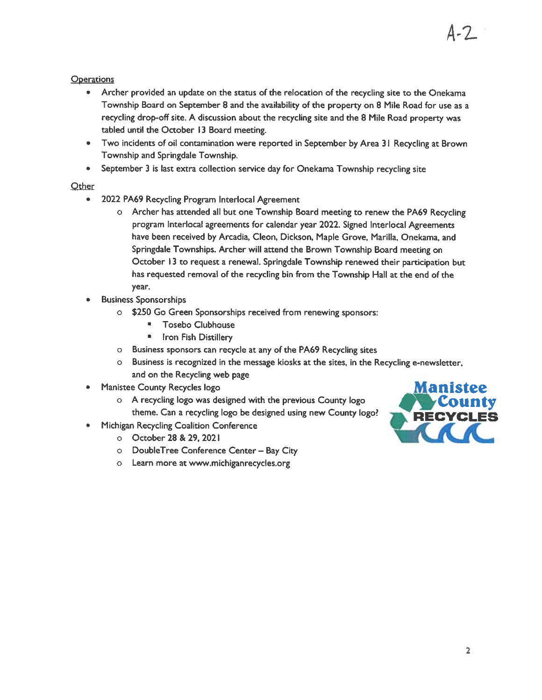### **Operations**

- Archer provided an update on the status of the relocation of the recycling site to the Onekama Township Board on September 8 and the availability of the property on 8 Mile Road for use as <sup>a</sup> recycling drop-off site. A discussion about the recycling site and the 8 Mile Road property was tabled until the October <sup>13</sup> Board meeting.
- Two incidents of oil contamination were reported in September by Area <sup>31</sup> Recycling at Brown Township and Springdale Township.
- September <sup>3</sup> is last extra collection service day for Onekama Township recycling site

## **Other**

- 2022 PA69 Recycling Program Interlocal Agreement
	- o Archer has attended all but one Township Board meeting to renew the PA69 Recycling program Interlocal agreements for calendar year 2022. Signed Interlocal Agreements have been received by Arcadia, Cleon, Dickson, Maple Grove, Manila, Onekama, and Springdale Townships. Archer will attend the Brown Township Board meeting on October <sup>13</sup> to request a renewal. Springdale Township renewed their participation but has requested removal of the recycling bin from the Township Hall at the end of the year.
- Business Sponsorships
	- o \$250 Go Green Sponsorships received from renewing sponsors:
		- Tosebo Clubhouse
		- **Iron Fish Distillery**
	- o Business sponsors can recycle at any of the PA69 Recycling sites
	- o Business is recognized in the message kiosks at the sites, in the Recycling e-newsletter, and on the Recycling web page
- Manistee County Recycles logo
	- o A recycling logo was designed with the previous County logo theme. Can a recycling logo be designed using new County logo? Michigan Recycling Coalition Conference
- - o October 28 & 29, 2021
	- o DoubleTree Conference Center Bay City
	- o Learn more at www.michiganrecycles.org



4-2-